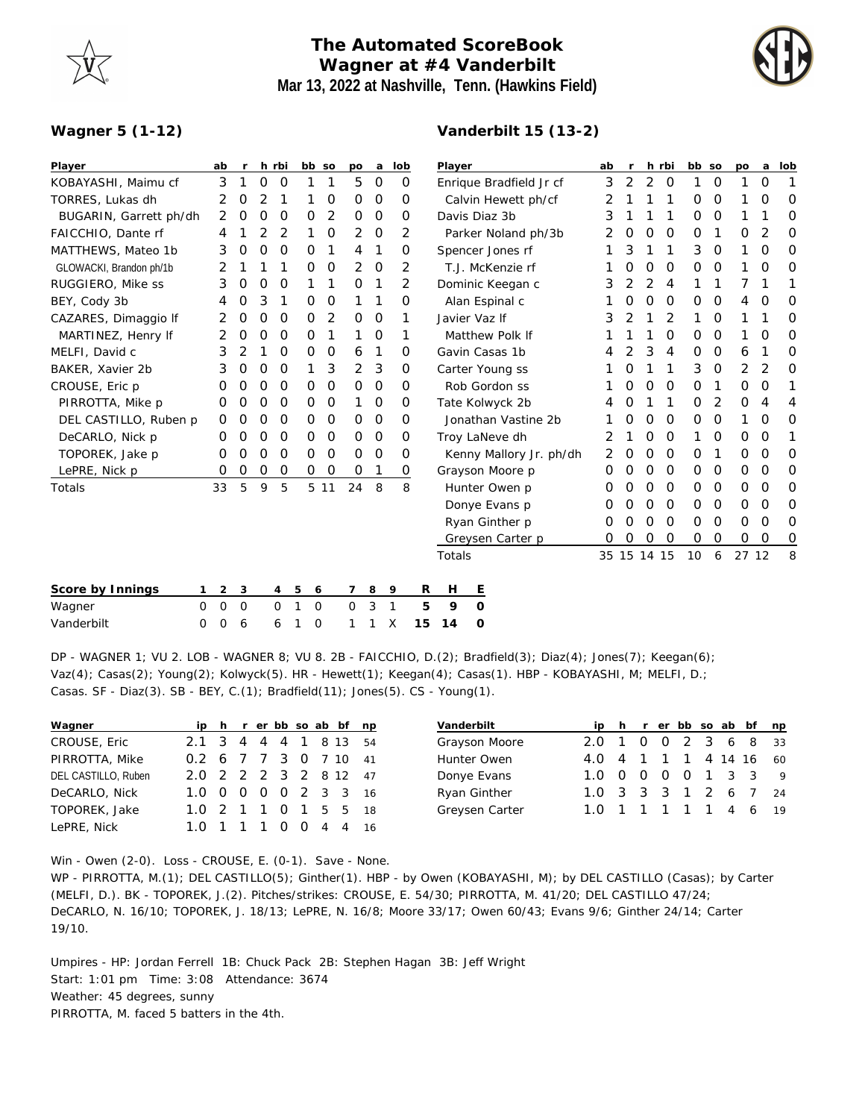## **The Automated ScoreBook Wagner at #4 Vanderbilt Mar 13, 2022 at Nashville, Tenn. (Hawkins Field)**

**Vanderbilt 15 (13-2)**



## **Wagner 5 (1-12)**

| Player                  | ab             |                | $\mathsf{r}$ | h rbi         |   | bb so  |             | po          | a           | lob          |          | Player          |                         |                     |         | ab<br>r |               | h rbi         | bb so    |               | po            | a             | lob |
|-------------------------|----------------|----------------|--------------|---------------|---|--------|-------------|-------------|-------------|--------------|----------|-----------------|-------------------------|---------------------|---------|---------|---------------|---------------|----------|---------------|---------------|---------------|-----|
| KOBAYASHI, Maimu cf     | 3              |                | 1            | O             | O | 1      | 1           | 5           | $\circ$     |              | 0        |                 | Enrique Bradfield Jr cf | 3                   | 2       | 2       | $\mathcal{O}$ | 1             | $\circ$  | 1             | 0             | 1             |     |
| TORRES, Lukas dh        | 2              |                | 0            | 2             | 1 |        | 0           | 0           | 0           |              | 0        |                 |                         | Calvin Hewett ph/cf | 2       |         |               | 1             | 0        | $\mathcal{O}$ |               | 0             | 0   |
| BUGARIN, Garrett ph/dh  | $\overline{2}$ |                | $\mathbf 0$  | 0             | 0 | 0      | 2           | 0           | $\circ$     |              | 0        |                 | Davis Diaz 3b           | 3                   |         |         | 1             | 0             | $\circ$  | 1             |               | 0             |     |
| FAICCHIO, Dante rf      | 4              |                |              | 2             | 2 | 1      | 0           | 2           | 0           |              | 2        |                 |                         | Parker Noland ph/3b | 2       | 0       | O             | 0             | 0        | 1             | 0             | 2             | 0   |
| MATTHEWS, Mateo 1b      | 3              |                | 0            | 0             | 0 | 0      | 1           | 4           | 1           |              | 0        |                 | Spencer Jones rf        | 1                   | 3       | 1       | 1             | 3             | 0        | 1             | 0             | 0             |     |
| GLOWACKI, Brandon ph/1b | 2              |                |              |               | 1 | 0      | 0           | 2           | 0           |              | 2        |                 |                         | T.J. McKenzie rf    |         | 0       | 0             | 0             | 0        | 0             | 1             | O             | 0   |
| RUGGIERO, Mike ss       | 3              |                | 0            | 0             | 0 |        | 1           | 0           | 1           |              | 2        |                 |                         | Dominic Keegan c    | 3       | 2       | 2             | 4             |          |               | 7             |               |     |
| BEY, Cody 3b            | 4              |                | 0            | 3             | 1 | 0      | $\mathbf 0$ | 1           | 1           |              | 0        |                 | Alan Espinal c          |                     | $\circ$ | 0       | $\mathcal{O}$ | 0             | $\circ$  | 4             | $\mathcal{O}$ | $\Omega$      |     |
| CAZARES, Dimaggio If    | 2              |                | 0            | O             | O | 0      | 2           | 0           | $\circ$     |              | 1        | Javier Vaz If   |                         |                     |         | 3<br>2  | 1             | 2             |          | 0             | 1             |               | 0   |
| MARTINEZ, Henry If      | 2              |                | 0            | 0             | O | 0      | 1           | 1           | 0           |              | 1        |                 |                         | Matthew Polk If     |         |         | 1             | 0             | 0        | 0             | 1             | 0             | 0   |
| MELFI, David c          | 3              |                | 2            | 1             | 0 | 0      | 0           | 6           | 1           |              | 0        |                 | Gavin Casas 1b          | 4                   | 2       | 3       | 4             | 0             | 0        | 6             | 1             | 0             |     |
| BAKER, Xavier 2b        | 3              |                | 0            | $\mathbf 0$   | O | 1      | 3           | 2           | 3           |              | $\circ$  | Carter Young ss |                         |                     |         | 0       | 1             | 1             | 3        | $\mathbf 0$   | 2             | 2             | 0   |
| CROUSE, Eric p          | Ο              |                | 0            | 0             | O | 0      | 0           | $\Omega$    | $\circ$     |              | $\Omega$ | Rob Gordon ss   |                         |                     |         | 0       | $\Omega$      | $\Omega$      | $\Omega$ |               | 0             | $\mathcal{O}$ |     |
| PIRROTTA, Mike p        | O              |                | 0            | O             | O | 0      | 0           | 1           | 0           |              | 0        |                 | Tate Kolwyck 2b         | 4                   | 0       | 1       | 1             | $\Omega$      | 2        | 0             | 4             | 4             |     |
| DEL CASTILLO, Ruben p   | 0              |                | 0            | 0             | 0 | 0      | 0           | 0           | 0           |              | 0        |                 | Jonathan Vastine 2b     |                     | 0       | 0       | $\mathcal{O}$ | 0             | 0        | 1             | 0             | 0             |     |
| DeCARLO, Nick p         | Ο              |                | 0            | 0             | O | 0      | $\Omega$    | $\mathbf 0$ | $\circ$     |              | 0        |                 | Troy LaNeve dh          | 2                   |         | 0       | $\mathcal{O}$ |               | $\circ$  | 0             | $\mathbf 0$   |               |     |
| TOPOREK, Jake p         | 0              |                | 0            | $\mathcal{O}$ | O | 0      | $\mathbf 0$ | $\mathbf 0$ | $\mathbf 0$ |              | 0        |                 | Kenny Mallory Jr. ph/dh | 2                   | 0       | 0       | $\mathcal{O}$ | 0             | 1        | 0             | $\mathcal{O}$ | 0             |     |
| LePRE, Nick p           | 0              |                | 0            | 0             | 0 | 0      | O           | 0           | 1           |              | 0        | Grayson Moore p |                         |                     |         | 0<br>O  | O             | 0             | 0        | 0             | 0             | 0             | O   |
| Totals                  | 33             |                | 5            | 9             | 5 |        | 5 11        | 24          | 8           |              | 8        |                 |                         | Hunter Owen p       | 0       | 0       | 0             | 0             | 0        | 0             | 0             | 0             | 0   |
|                         |                |                |              |               |   |        |             |             |             |              |          |                 | Donye Evans p           | 0                   | 0       | 0       | $\mathcal{O}$ | $\mathbf 0$   | $\circ$  | 0             | 0             | 0             |     |
|                         |                |                |              |               |   |        |             |             |             |              |          | Ryan Ginther p  |                         |                     |         |         | 0             | $\mathcal{O}$ | 0        | $\circ$       | 0             | $\mathbf 0$   | 0   |
|                         |                |                |              |               |   |        |             |             |             |              |          |                 |                         | Greysen Carter p    | 0       | 0       | O             | $\mathcal{O}$ | 0        | $\mathbf 0$   | 0             | 0             | 0   |
|                         |                |                |              |               |   |        |             |             |             |              |          | Totals          |                         |                     |         |         |               | 35 15 14 15   | 10       | 6             | 27 12         |               | 8   |
| Score by Innings        | 1.             | $\overline{2}$ | 3            |               | 4 | 5<br>6 |             | 7           | 8           | 9            | R        | Н               |                         | <u>E</u>            |         |         |               |               |          |               |               |               |     |
| Wagner<br>0             | 0              |                | 0            |               | 0 | 0      |             | 0           | 3           | $\mathbf{1}$ | 5        | 9               |                         | $\circ$             |         |         |               |               |          |               |               |               |     |
| Vanderbilt<br>0         | O              |                | 6            |               | 6 | 0      |             | 1           |             | Х            | 15       | 14              |                         | O                   |         |         |               |               |          |               |               |               |     |
|                         |                |                |              |               |   |        |             |             |             |              |          |                 |                         |                     |         |         |               |               |          |               |               |               |     |

DP - WAGNER 1; VU 2. LOB - WAGNER 8; VU 8. 2B - FAICCHIO, D.(2); Bradfield(3); Diaz(4); Jones(7); Keegan(6); Vaz(4); Casas(2); Young(2); Kolwyck(5). HR - Hewett(1); Keegan(4); Casas(1). HBP - KOBAYASHI, M; MELFI, D.; Casas. SF - Diaz(3). SB - BEY, C.(1); Bradfield(11); Jones(5). CS - Young(1).

| Wagner              |                       |  |  |  | ip h r er bb so ab bf np |     |
|---------------------|-----------------------|--|--|--|--------------------------|-----|
| CROUSE, Eric        | 2.1 3 4 4 4 1 8 13    |  |  |  |                          | .54 |
| PIRROTTA, Mike      | 0.2 6 7 7 3 0 7 10 41 |  |  |  |                          |     |
| DEL CASTILLO, Ruben | 20 2 2 2 3 2 8 12 47  |  |  |  |                          |     |
| DeCARLO, Nick       | 1.0 0 0 0 0 2 3 3 16  |  |  |  |                          |     |
| TOPOREK, Jake       | 1.0 2 1 1 0 1 5 5 18  |  |  |  |                          |     |
| LePRE, Nick         |                       |  |  |  | 1 1 1 0 0 4 4 16         |     |

| Vanderbilt     |                        |  |  |  | ip h r er bb so ab bf np |                |
|----------------|------------------------|--|--|--|--------------------------|----------------|
| Grayson Moore  | 2.0 1 0 0 2 3 6 8      |  |  |  |                          | 33             |
| Hunter Owen    | 4.0 4 1 1 1 4 14 16 60 |  |  |  |                          |                |
| Donye Evans    | 1.0 0 0 0 0 1 3 3      |  |  |  |                          | $\overline{Q}$ |
| Ryan Ginther   | 1.0 3 3 3 1 2 6 7 24   |  |  |  |                          |                |
| Greysen Carter | 1.0 1 1 1 1 1 4 6      |  |  |  |                          | 19             |
|                |                        |  |  |  |                          |                |

Win - Owen (2-0). Loss - CROUSE, E. (0-1). Save - None.

WP - PIRROTTA, M.(1); DEL CASTILLO(5); Ginther(1). HBP - by Owen (KOBAYASHI, M); by DEL CASTILLO (Casas); by Carter (MELFI, D.). BK - TOPOREK, J.(2). Pitches/strikes: CROUSE, E. 54/30; PIRROTTA, M. 41/20; DEL CASTILLO 47/24; DeCARLO, N. 16/10; TOPOREK, J. 18/13; LePRE, N. 16/8; Moore 33/17; Owen 60/43; Evans 9/6; Ginther 24/14; Carter 19/10.

Umpires - HP: Jordan Ferrell 1B: Chuck Pack 2B: Stephen Hagan 3B: Jeff Wright Start: 1:01 pm Time: 3:08 Attendance: 3674 Weather: 45 degrees, sunny PIRROTTA, M. faced 5 batters in the 4th.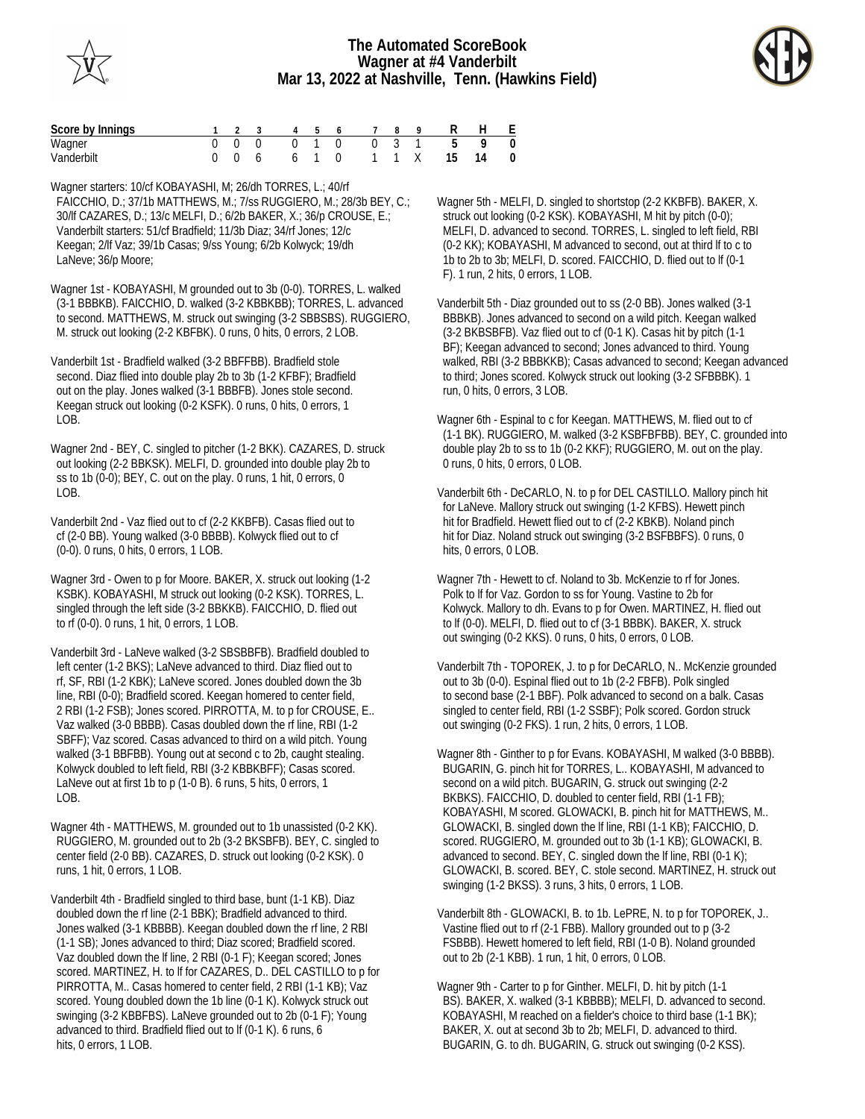



| Score by Innings |  | 1 2 3 4 5 6 7 8 |  |  | 9 R H E                   |  |
|------------------|--|-----------------|--|--|---------------------------|--|
| Wagner           |  |                 |  |  | 0 0 0 0 1 0 0 0 3 1 5 9 0 |  |
| Vanderbilt       |  |                 |  |  | 0 0 6 6 1 0 1 1 X 15 14 0 |  |

Wagner starters: 10/cf KOBAYASHI, M; 26/dh TORRES, L.; 40/rf FAICCHIO, D.; 37/1b MATTHEWS, M.; 7/ss RUGGIERO, M.; 28/3b BEY, C.; 30/lf CAZARES, D.; 13/c MELFI, D.; 6/2b BAKER, X.; 36/p CROUSE, E.; Vanderbilt starters: 51/cf Bradfield; 11/3b Diaz; 34/rf Jones; 12/c Keegan; 2/lf Vaz; 39/1b Casas; 9/ss Young; 6/2b Kolwyck; 19/dh LaNeve; 36/p Moore;

Wagner 1st - KOBAYASHI, M grounded out to 3b (0-0). TORRES, L. walked (3-1 BBBKB). FAICCHIO, D. walked (3-2 KBBKBB); TORRES, L. advanced to second. MATTHEWS, M. struck out swinging (3-2 SBBSBS). RUGGIERO, M. struck out looking (2-2 KBFBK). 0 runs, 0 hits, 0 errors, 2 LOB.

Vanderbilt 1st - Bradfield walked (3-2 BBFFBB). Bradfield stole second. Diaz flied into double play 2b to 3b (1-2 KFBF); Bradfield out on the play. Jones walked (3-1 BBBFB). Jones stole second. Keegan struck out looking (0-2 KSFK). 0 runs, 0 hits, 0 errors, 1  $LOB$ .

Wagner 2nd - BEY, C. singled to pitcher (1-2 BKK). CAZARES, D. struck out looking (2-2 BBKSK). MELFI, D. grounded into double play 2b to ss to 1b (0-0); BEY, C. out on the play. 0 runs, 1 hit, 0 errors, 0 LOB.

Vanderbilt 2nd - Vaz flied out to cf (2-2 KKBFB). Casas flied out to cf (2-0 BB). Young walked (3-0 BBBB). Kolwyck flied out to cf (0-0). 0 runs, 0 hits, 0 errors, 1 LOB.

Wagner 3rd - Owen to p for Moore. BAKER, X. struck out looking (1-2 KSBK). KOBAYASHI, M struck out looking (0-2 KSK). TORRES, L. singled through the left side (3-2 BBKKB). FAICCHIO, D. flied out to rf (0-0). 0 runs, 1 hit, 0 errors, 1 LOB.

Vanderbilt 3rd - LaNeve walked (3-2 SBSBBFB). Bradfield doubled to left center (1-2 BKS); LaNeve advanced to third. Diaz flied out to rf, SF, RBI (1-2 KBK); LaNeve scored. Jones doubled down the 3b line, RBI (0-0); Bradfield scored. Keegan homered to center field, 2 RBI (1-2 FSB); Jones scored. PIRROTTA, M. to p for CROUSE, E.. Vaz walked (3-0 BBBB). Casas doubled down the rf line, RBI (1-2 SBFF); Vaz scored. Casas advanced to third on a wild pitch. Young walked (3-1 BBFBB). Young out at second c to 2b, caught stealing. Kolwyck doubled to left field, RBI (3-2 KBBKBFF); Casas scored. LaNeve out at first 1b to p (1-0 B). 6 runs, 5 hits, 0 errors, 1 LOB.

Wagner 4th - MATTHEWS, M. grounded out to 1b unassisted (0-2 KK). RUGGIERO, M. grounded out to 2b (3-2 BKSBFB). BEY, C. singled to center field (2-0 BB). CAZARES, D. struck out looking (0-2 KSK). 0 runs, 1 hit, 0 errors, 1 LOB.

Vanderbilt 4th - Bradfield singled to third base, bunt (1-1 KB). Diaz doubled down the rf line (2-1 BBK); Bradfield advanced to third. Jones walked (3-1 KBBBB). Keegan doubled down the rf line, 2 RBI (1-1 SB); Jones advanced to third; Diaz scored; Bradfield scored. Vaz doubled down the lf line, 2 RBI (0-1 F); Keegan scored; Jones scored. MARTINEZ, H. to lf for CAZARES, D.. DEL CASTILLO to p for PIRROTTA, M.. Casas homered to center field, 2 RBI (1-1 KB); Vaz scored. Young doubled down the 1b line (0-1 K). Kolwyck struck out swinging (3-2 KBBFBS). LaNeve grounded out to 2b (0-1 F); Young advanced to third. Bradfield flied out to lf (0-1 K). 6 runs, 6 hits, 0 errors, 1 LOB.

Wagner 5th - MELFI, D. singled to shortstop (2-2 KKBFB). BAKER, X. struck out looking (0-2 KSK). KOBAYASHI, M hit by pitch (0-0); MELFI, D. advanced to second. TORRES, L. singled to left field, RBI (0-2 KK); KOBAYASHI, M advanced to second, out at third lf to c to 1b to 2b to 3b; MELFI, D. scored. FAICCHIO, D. flied out to lf (0-1 F). 1 run, 2 hits, 0 errors, 1 LOB.

Vanderbilt 5th - Diaz grounded out to ss (2-0 BB). Jones walked (3-1 BBBKB). Jones advanced to second on a wild pitch. Keegan walked (3-2 BKBSBFB). Vaz flied out to cf (0-1 K). Casas hit by pitch (1-1 BF); Keegan advanced to second; Jones advanced to third. Young walked, RBI (3-2 BBBKKB); Casas advanced to second; Keegan advanced to third; Jones scored. Kolwyck struck out looking (3-2 SFBBBK). 1 run, 0 hits, 0 errors, 3 LOB.

Wagner 6th - Espinal to c for Keegan. MATTHEWS, M. flied out to cf (1-1 BK). RUGGIERO, M. walked (3-2 KSBFBFBB). BEY, C. grounded into double play 2b to ss to 1b (0-2 KKF); RUGGIERO, M. out on the play. 0 runs, 0 hits, 0 errors, 0 LOB.

Vanderbilt 6th - DeCARLO, N. to p for DEL CASTILLO. Mallory pinch hit for LaNeve. Mallory struck out swinging (1-2 KFBS). Hewett pinch hit for Bradfield. Hewett flied out to cf (2-2 KBKB). Noland pinch hit for Diaz. Noland struck out swinging (3-2 BSFBBFS). 0 runs, 0 hits, 0 errors, 0 LOB.

Wagner 7th - Hewett to cf. Noland to 3b. McKenzie to rf for Jones. Polk to lf for Vaz. Gordon to ss for Young. Vastine to 2b for Kolwyck. Mallory to dh. Evans to p for Owen. MARTINEZ, H. flied out to lf (0-0). MELFI, D. flied out to cf (3-1 BBBK). BAKER, X. struck out swinging (0-2 KKS). 0 runs, 0 hits, 0 errors, 0 LOB.

Vanderbilt 7th - TOPOREK, J. to p for DeCARLO, N.. McKenzie grounded out to 3b (0-0). Espinal flied out to 1b (2-2 FBFB). Polk singled to second base (2-1 BBF). Polk advanced to second on a balk. Casas singled to center field, RBI (1-2 SSBF); Polk scored. Gordon struck out swinging (0-2 FKS). 1 run, 2 hits, 0 errors, 1 LOB.

Wagner 8th - Ginther to p for Evans. KOBAYASHI, M walked (3-0 BBBB). BUGARIN, G. pinch hit for TORRES, L.. KOBAYASHI, M advanced to second on a wild pitch. BUGARIN, G. struck out swinging (2-2 BKBKS). FAICCHIO, D. doubled to center field, RBI (1-1 FB); KOBAYASHI, M scored. GLOWACKI, B. pinch hit for MATTHEWS, M.. GLOWACKI, B. singled down the lf line, RBI (1-1 KB); FAICCHIO, D. scored. RUGGIERO, M. grounded out to 3b (1-1 KB); GLOWACKI, B. advanced to second. BEY, C. singled down the lf line, RBI (0-1 K); GLOWACKI, B. scored. BEY, C. stole second. MARTINEZ, H. struck out swinging (1-2 BKSS). 3 runs, 3 hits, 0 errors, 1 LOB.

Vanderbilt 8th - GLOWACKI, B. to 1b. LePRE, N. to p for TOPOREK, J.. Vastine flied out to rf (2-1 FBB). Mallory grounded out to p (3-2 FSBBB). Hewett homered to left field, RBI (1-0 B). Noland grounded out to 2b (2-1 KBB). 1 run, 1 hit, 0 errors, 0 LOB.

Wagner 9th - Carter to p for Ginther. MELFI, D. hit by pitch (1-1 BS). BAKER, X. walked (3-1 KBBBB); MELFI, D. advanced to second. KOBAYASHI, M reached on a fielder's choice to third base (1-1 BK); BAKER, X. out at second 3b to 2b; MELFI, D. advanced to third. BUGARIN, G. to dh. BUGARIN, G. struck out swinging (0-2 KSS).